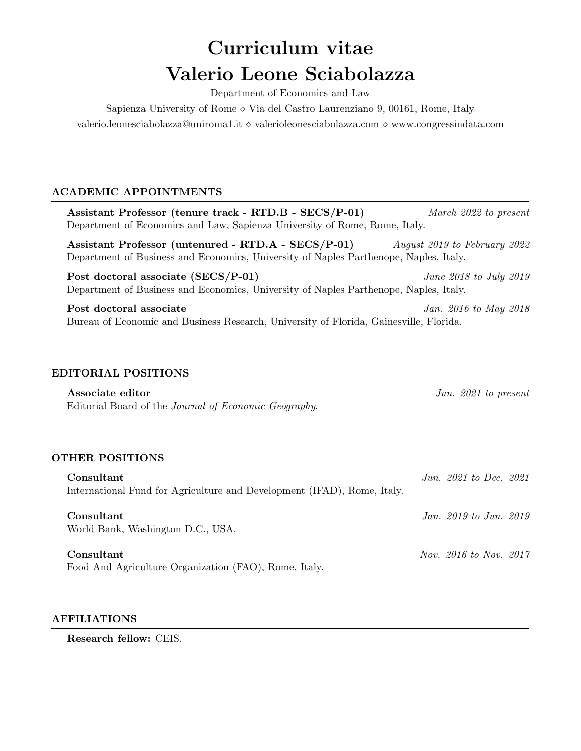# Curriculum vitae Valerio Leone Sciabolazza

Department of Economics and Law

Sapienza University of Rome  $\circ$  Via del Castro Laurenziano 9, 00161, Rome, Italy valerio.leonesciabolazza@uniroma1.it  $\diamond$  valerioleonesciabolazza.com  $\diamond$  www.congressindata.com

# ACADEMIC APPOINTMENTS

Assistant Professor (tenure track - RTD.B - SECS/P-01) March 2022 to present Department of Economics and Law, Sapienza University of Rome, Rome, Italy. Assistant Professor (untenured - RTD.A - SECS/P-01) August 2019 to February 2022 Department of Business and Economics, University of Naples Parthenope, Naples, Italy.

Post doctoral associate (SECS/P-01) June 2018 to July 2019 Department of Business and Economics, University of Naples Parthenope, Naples, Italy.

Post doctoral associate Jan. 2016 to May 2018 Bureau of Economic and Business Research, University of Florida, Gainesville, Florida.

# EDITORIAL POSITIONS

Associate editor  $\int$ un. 2021 to present Editorial Board of the Journal of Economic Geography.

### OTHER POSITIONS

Consultant  $\frac{Jun. 2021}{100}$  Jun. 2021 to Dec. 2021 International Fund for Agriculture and Development (IFAD), Rome, Italy.

**Consultant** *Jan. 2019 to Jun. 2019* World Bank, Washington D.C., USA.

Food And Agriculture Organization (FAO), Rome, Italy.

### AFFILIATIONS

Research fellow: CEIS.

 $\mu_{\text{Nov}}$  Consultant  $\mu_{\text{Vov}}$  2016 to Nov. 2017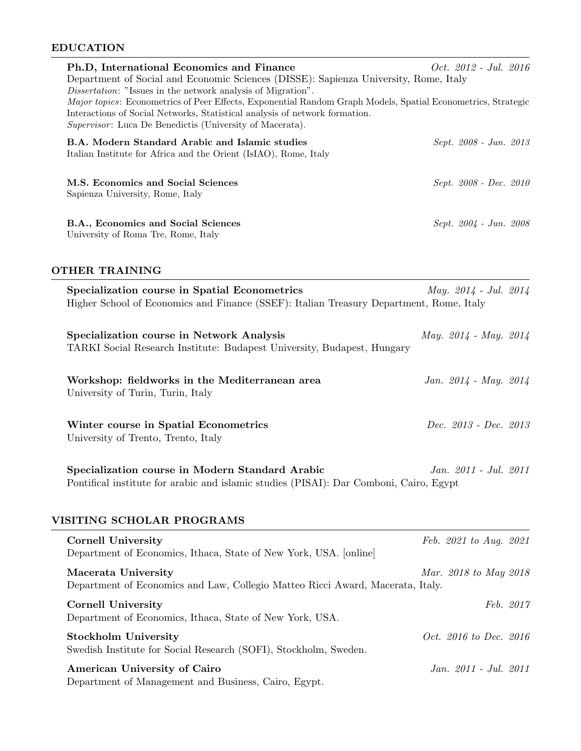# EDUCATION

| Ph.D, International Economics and Finance<br>Department of Social and Economic Sciences (DISSE): Sapienza University, Rome, Italy<br><i>Dissertation:</i> "Issues in the network analysis of Migration".<br>Major topics: Econometrics of Peer Effects, Exponential Random Graph Models, Spatial Econometrics, Strategic<br>Interactions of Social Networks, Statistical analysis of network formation.<br>Supervisor: Luca De Benedictis (University of Macerata). | <i>Oct.</i> 2012 - Jul. 2016  |
|---------------------------------------------------------------------------------------------------------------------------------------------------------------------------------------------------------------------------------------------------------------------------------------------------------------------------------------------------------------------------------------------------------------------------------------------------------------------|-------------------------------|
| B.A. Modern Standard Arabic and Islamic studies<br>Italian Institute for Africa and the Orient (IsIAO), Rome, Italy                                                                                                                                                                                                                                                                                                                                                 | Sept. 2008 - Jun. 2013        |
| M.S. Economics and Social Sciences<br>Sapienza University, Rome, Italy                                                                                                                                                                                                                                                                                                                                                                                              | Sept. 2008 - Dec. 2010        |
| B.A., Economics and Social Sciences<br>University of Roma Tre, Rome, Italy                                                                                                                                                                                                                                                                                                                                                                                          | Sept. 2004 - Jun. 2008        |
| <b>OTHER TRAINING</b>                                                                                                                                                                                                                                                                                                                                                                                                                                               |                               |
| Specialization course in Spatial Econometrics<br>Higher School of Economics and Finance (SSEF): Italian Treasury Department, Rome, Italy                                                                                                                                                                                                                                                                                                                            | May. $2014 - Jul.$ 2014       |
| Specialization course in Network Analysis<br>TARKI Social Research Institute: Budapest University, Budapest, Hungary                                                                                                                                                                                                                                                                                                                                                | May. $2014$ - May. $2014$     |
| Workshop: fieldworks in the Mediterranean area<br>University of Turin, Turin, Italy                                                                                                                                                                                                                                                                                                                                                                                 | Jan. $2014$ - May. $2014$     |
| Winter course in Spatial Econometrics<br>University of Trento, Trento, Italy                                                                                                                                                                                                                                                                                                                                                                                        | Dec. 2013 - Dec. 2013         |
| Specialization course in Modern Standard Arabic<br>Pontifical institute for arabic and islamic studies (PISAI): Dar Comboni, Cairo, Egypt                                                                                                                                                                                                                                                                                                                           | Jan. 2011 - Jul. 2011         |
| VISITING SCHOLAR PROGRAMS<br><b>Cornell University</b>                                                                                                                                                                                                                                                                                                                                                                                                              | Feb. 2021 to Aug. 2021        |
| Department of Economics, Ithaca, State of New York, USA. [online]                                                                                                                                                                                                                                                                                                                                                                                                   |                               |
| Macerata University<br>Department of Economics and Law, Collegio Matteo Ricci Award, Macerata, Italy.                                                                                                                                                                                                                                                                                                                                                               | Mar. 2018 to May 2018         |
| <b>Cornell University</b><br>Department of Economics, Ithaca, State of New York, USA.                                                                                                                                                                                                                                                                                                                                                                               | Feb. 2017                     |
| <b>Stockholm University</b><br>Swedish Institute for Social Research (SOFI), Stockholm, Sweden.                                                                                                                                                                                                                                                                                                                                                                     | <i>Oct.</i> 2016 to Dec. 2016 |
| <b>American University of Cairo</b><br>Department of Management and Business, Cairo, Egypt.                                                                                                                                                                                                                                                                                                                                                                         | Jan. 2011 - Jul. 2011         |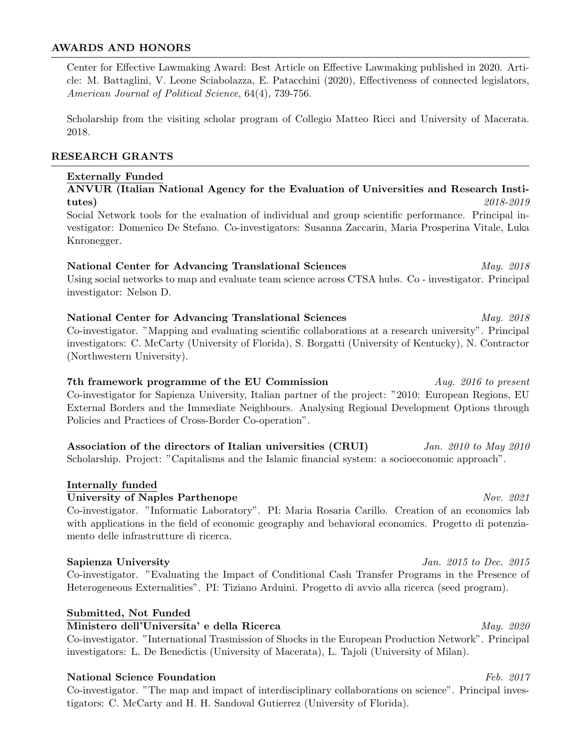### AWARDS AND HONORS

Center for Effective Lawmaking Award: Best Article on Effective Lawmaking published in 2020. Article: M. Battaglini, V. Leone Sciabolazza, E. Patacchini (2020), Effectiveness of connected legislators, American Journal of Political Science, 64(4), 739-756.

Scholarship from the visiting scholar program of Collegio Matteo Ricci and University of Macerata. 2018.

# RESEARCH GRANTS

### Externally Funded

# ANVUR (Italian National Agency for the Evaluation of Universities and Research Insti- $\textbf{tutes)} \hspace{2cm} \textit{2018-2019}$

Social Network tools for the evaluation of individual and group scientific performance. Principal investigator: Domenico De Stefano. Co-investigators: Susanna Zaccarin, Maria Prosperina Vitale, Luka Knronegger.

National Center for Advancing Translational Sciences May. 2018 Using social networks to map and evaluate team science across CTSA hubs. Co - investigator. Principal investigator: Nelson D.

National Center for Advancing Translational Sciences May. 2018 Co-investigator. "Mapping and evaluating scientific collaborations at a research university". Principal investigators: C. McCarty (University of Florida), S. Borgatti (University of Kentucky), N. Contractor (Northwestern University).

7th framework programme of the EU Commission Aug. 2016 to present Co-investigator for Sapienza University, Italian partner of the project: "2010: European Regions, EU External Borders and the Immediate Neighbours. Analysing Regional Development Options through Policies and Practices of Cross-Border Co-operation".

Association of the directors of Italian universities (CRUI) Jan. 2010 to May 2010 Scholarship. Project: "Capitalisms and the Islamic financial system: a socioeconomic approach".

### Internally funded

University of Naples Parthenope Nov. 2021

Co-investigator. "Informatic Laboratory". PI: Maria Rosaria Carillo. Creation of an economics lab with applications in the field of economic geography and behavioral economics. Progetto di potenziamento delle infrastrutture di ricerca.

#### Sapienza University and Sapienza University and Sapienza University and Sapienza University and Sapienza University

Co-investigator. "Evaluating the Impact of Conditional Cash Transfer Programs in the Presence of Heterogeneous Externalities". PI: Tiziano Arduini. Progetto di avvio alla ricerca (seed program).

### Submitted, Not Funded

 $\overline{\text{Ministero dell'Universita'}}$  e della Ricerca  $May.$  2020

Co-investigator. "International Trasmission of Shocks in the European Production Network". Principal investigators: L. De Benedictis (University of Macerata), L. Tajoli (University of Milan).

### National Science Foundation **Feb.** 2017

Co-investigator. "The map and impact of interdisciplinary collaborations on science". Principal investigators: C. McCarty and H. H. Sandoval Gutierrez (University of Florida).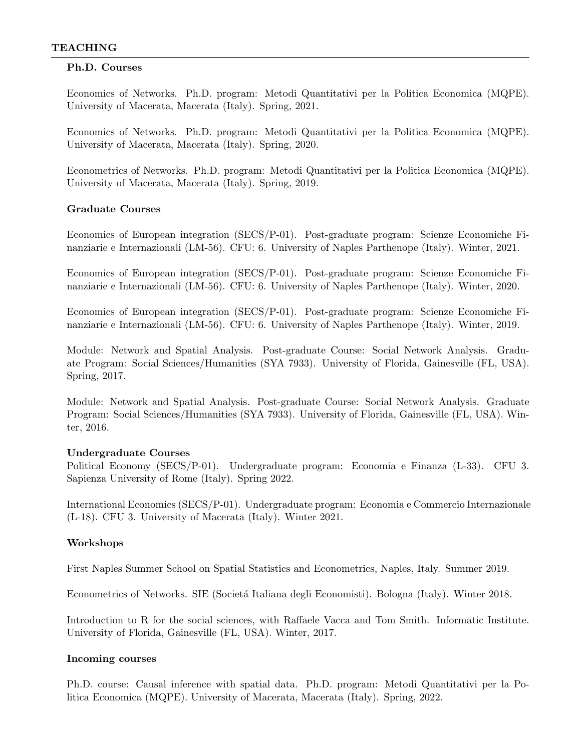### Ph.D. Courses

Economics of Networks. Ph.D. program: Metodi Quantitativi per la Politica Economica (MQPE). University of Macerata, Macerata (Italy). Spring, 2021.

Economics of Networks. Ph.D. program: Metodi Quantitativi per la Politica Economica (MQPE). University of Macerata, Macerata (Italy). Spring, 2020.

Econometrics of Networks. Ph.D. program: Metodi Quantitativi per la Politica Economica (MQPE). University of Macerata, Macerata (Italy). Spring, 2019.

### Graduate Courses

Economics of European integration (SECS/P-01). Post-graduate program: Scienze Economiche Finanziarie e Internazionali (LM-56). CFU: 6. University of Naples Parthenope (Italy). Winter, 2021.

Economics of European integration (SECS/P-01). Post-graduate program: Scienze Economiche Finanziarie e Internazionali (LM-56). CFU: 6. University of Naples Parthenope (Italy). Winter, 2020.

Economics of European integration (SECS/P-01). Post-graduate program: Scienze Economiche Finanziarie e Internazionali (LM-56). CFU: 6. University of Naples Parthenope (Italy). Winter, 2019.

Module: Network and Spatial Analysis. Post-graduate Course: Social Network Analysis. Graduate Program: Social Sciences/Humanities (SYA 7933). University of Florida, Gainesville (FL, USA). Spring, 2017.

Module: Network and Spatial Analysis. Post-graduate Course: Social Network Analysis. Graduate Program: Social Sciences/Humanities (SYA 7933). University of Florida, Gainesville (FL, USA). Winter, 2016.

#### Undergraduate Courses

Political Economy (SECS/P-01). Undergraduate program: Economia e Finanza (L-33). CFU 3. Sapienza University of Rome (Italy). Spring 2022.

International Economics (SECS/P-01). Undergraduate program: Economia e Commercio Internazionale (L-18). CFU 3. University of Macerata (Italy). Winter 2021.

### Workshops

First Naples Summer School on Spatial Statistics and Econometrics, Naples, Italy. Summer 2019.

Econometrics of Networks. SIE (Società Italiana degli Economisti). Bologna (Italy). Winter 2018.

Introduction to R for the social sciences, with Raffaele Vacca and Tom Smith. Informatic Institute. University of Florida, Gainesville (FL, USA). Winter, 2017.

#### Incoming courses

Ph.D. course: Causal inference with spatial data. Ph.D. program: Metodi Quantitativi per la Politica Economica (MQPE). University of Macerata, Macerata (Italy). Spring, 2022.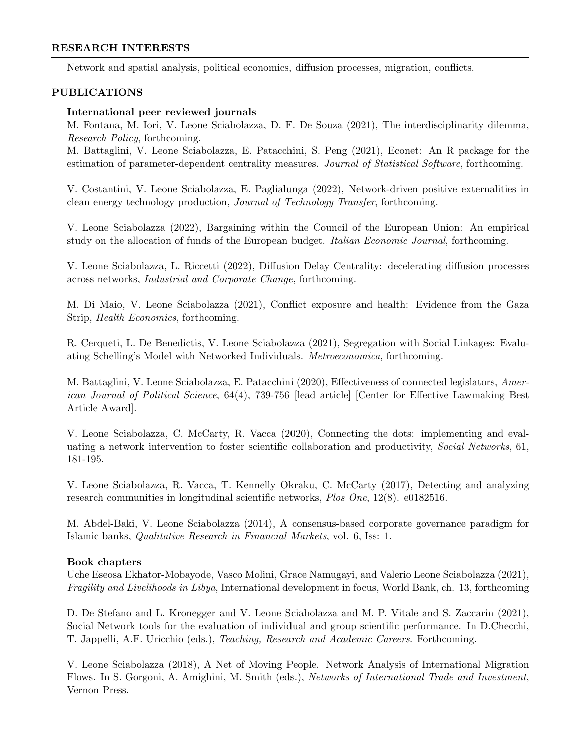#### RESEARCH INTERESTS

Network and spatial analysis, political economics, diffusion processes, migration, conflicts.

#### PUBLICATIONS

#### International peer reviewed journals

M. Fontana, M. Iori, V. Leone Sciabolazza, D. F. De Souza (2021), The interdisciplinarity dilemma, Research Policy, forthcoming.

M. Battaglini, V. Leone Sciabolazza, E. Patacchini, S. Peng (2021), Econet: An R package for the estimation of parameter-dependent centrality measures. Journal of Statistical Software, forthcoming.

V. Costantini, V. Leone Sciabolazza, E. Paglialunga (2022), Network-driven positive externalities in clean energy technology production, Journal of Technology Transfer, forthcoming.

V. Leone Sciabolazza (2022), Bargaining within the Council of the European Union: An empirical study on the allocation of funds of the European budget. Italian Economic Journal, forthcoming.

V. Leone Sciabolazza, L. Riccetti (2022), Diffusion Delay Centrality: decelerating diffusion processes across networks, Industrial and Corporate Change, forthcoming.

M. Di Maio, V. Leone Sciabolazza (2021), Conflict exposure and health: Evidence from the Gaza Strip, Health Economics, forthcoming.

R. Cerqueti, L. De Benedictis, V. Leone Sciabolazza (2021), Segregation with Social Linkages: Evaluating Schelling's Model with Networked Individuals. Metroeconomica, forthcoming.

M. Battaglini, V. Leone Sciabolazza, E. Patacchini (2020), Effectiveness of connected legislators, American Journal of Political Science, 64(4), 739-756 [lead article] [Center for Effective Lawmaking Best Article Award].

V. Leone Sciabolazza, C. McCarty, R. Vacca (2020), Connecting the dots: implementing and evaluating a network intervention to foster scientific collaboration and productivity, Social Networks, 61, 181-195.

V. Leone Sciabolazza, R. Vacca, T. Kennelly Okraku, C. McCarty (2017), Detecting and analyzing research communities in longitudinal scientific networks, Plos One, 12(8). e0182516.

M. Abdel-Baki, V. Leone Sciabolazza (2014), A consensus-based corporate governance paradigm for Islamic banks, Qualitative Research in Financial Markets, vol. 6, Iss: 1.

### Book chapters

Uche Eseosa Ekhator-Mobayode, Vasco Molini, Grace Namugayi, and Valerio Leone Sciabolazza (2021), Fragility and Livelihoods in Libya, International development in focus, World Bank, ch. 13, forthcoming

D. De Stefano and L. Kronegger and V. Leone Sciabolazza and M. P. Vitale and S. Zaccarin (2021), Social Network tools for the evaluation of individual and group scientific performance. In D.Checchi, T. Jappelli, A.F. Uricchio (eds.), Teaching, Research and Academic Careers. Forthcoming.

V. Leone Sciabolazza (2018), A Net of Moving People. Network Analysis of International Migration Flows. In S. Gorgoni, A. Amighini, M. Smith (eds.), Networks of International Trade and Investment, Vernon Press.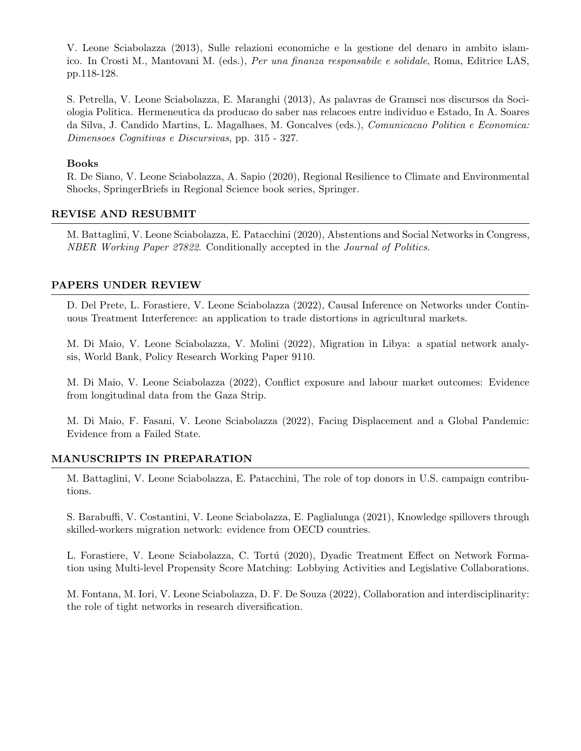V. Leone Sciabolazza (2013), Sulle relazioni economiche e la gestione del denaro in ambito islamico. In Crosti M., Mantovani M. (eds.), Per una finanza responsabile e solidale, Roma, Editrice LAS, pp.118-128.

S. Petrella, V. Leone Sciabolazza, E. Maranghi (2013), As palavras de Gramsci nos discursos da Sociologia Politica. Hermeneutica da producao do saber nas relacoes entre individuo e Estado, In A. Soares da Silva, J. Candido Martins, L. Magalhaes, M. Goncalves (eds.), Comunicacao Politica e Economica: Dimensoes Cognitivas e Discursivas, pp. 315 - 327.

#### Books

R. De Siano, V. Leone Sciabolazza, A. Sapio (2020), Regional Resilience to Climate and Environmental Shocks, SpringerBriefs in Regional Science book series, Springer.

### REVISE AND RESUBMIT

M. Battaglini, V. Leone Sciabolazza, E. Patacchini (2020), Abstentions and Social Networks in Congress, NBER Working Paper 27822. Conditionally accepted in the Journal of Politics.

### PAPERS UNDER REVIEW

D. Del Prete, L. Forastiere, V. Leone Sciabolazza (2022), Causal Inference on Networks under Continuous Treatment Interference: an application to trade distortions in agricultural markets.

M. Di Maio, V. Leone Sciabolazza, V. Molini (2022), Migration in Libya: a spatial network analysis, World Bank, Policy Research Working Paper 9110.

M. Di Maio, V. Leone Sciabolazza (2022), Conflict exposure and labour market outcomes: Evidence from longitudinal data from the Gaza Strip.

M. Di Maio, F. Fasani, V. Leone Sciabolazza (2022), Facing Displacement and a Global Pandemic: Evidence from a Failed State.

### MANUSCRIPTS IN PREPARATION

M. Battaglini, V. Leone Sciabolazza, E. Patacchini, The role of top donors in U.S. campaign contributions.

S. Barabuffi, V. Costantini, V. Leone Sciabolazza, E. Paglialunga (2021), Knowledge spillovers through skilled-workers migration network: evidence from OECD countries.

L. Forastiere, V. Leone Sciabolazza, C. Tortú (2020), Dyadic Treatment Effect on Network Formation using Multi-level Propensity Score Matching: Lobbying Activities and Legislative Collaborations.

M. Fontana, M. Iori, V. Leone Sciabolazza, D. F. De Souza (2022), Collaboration and interdisciplinarity: the role of tight networks in research diversification.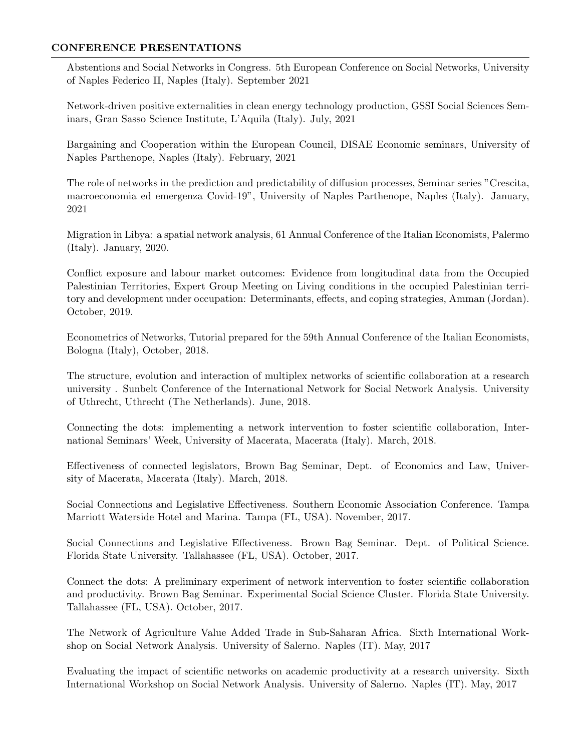### CONFERENCE PRESENTATIONS

Abstentions and Social Networks in Congress. 5th European Conference on Social Networks, University of Naples Federico II, Naples (Italy). September 2021

Network-driven positive externalities in clean energy technology production, GSSI Social Sciences Seminars, Gran Sasso Science Institute, L'Aquila (Italy). July, 2021

Bargaining and Cooperation within the European Council, DISAE Economic seminars, University of Naples Parthenope, Naples (Italy). February, 2021

The role of networks in the prediction and predictability of diffusion processes, Seminar series "Crescita, macroeconomia ed emergenza Covid-19", University of Naples Parthenope, Naples (Italy). January, 2021

Migration in Libya: a spatial network analysis, 61 Annual Conference of the Italian Economists, Palermo (Italy). January, 2020.

Conflict exposure and labour market outcomes: Evidence from longitudinal data from the Occupied Palestinian Territories, Expert Group Meeting on Living conditions in the occupied Palestinian territory and development under occupation: Determinants, effects, and coping strategies, Amman (Jordan). October, 2019.

Econometrics of Networks, Tutorial prepared for the 59th Annual Conference of the Italian Economists, Bologna (Italy), October, 2018.

The structure, evolution and interaction of multiplex networks of scientific collaboration at a research university . Sunbelt Conference of the International Network for Social Network Analysis. University of Uthrecht, Uthrecht (The Netherlands). June, 2018.

Connecting the dots: implementing a network intervention to foster scientific collaboration, International Seminars' Week, University of Macerata, Macerata (Italy). March, 2018.

Effectiveness of connected legislators, Brown Bag Seminar, Dept. of Economics and Law, University of Macerata, Macerata (Italy). March, 2018.

Social Connections and Legislative Effectiveness. Southern Economic Association Conference. Tampa Marriott Waterside Hotel and Marina. Tampa (FL, USA). November, 2017.

Social Connections and Legislative Effectiveness. Brown Bag Seminar. Dept. of Political Science. Florida State University. Tallahassee (FL, USA). October, 2017.

Connect the dots: A preliminary experiment of network intervention to foster scientific collaboration and productivity. Brown Bag Seminar. Experimental Social Science Cluster. Florida State University. Tallahassee (FL, USA). October, 2017.

The Network of Agriculture Value Added Trade in Sub-Saharan Africa. Sixth International Workshop on Social Network Analysis. University of Salerno. Naples (IT). May, 2017

Evaluating the impact of scientific networks on academic productivity at a research university. Sixth International Workshop on Social Network Analysis. University of Salerno. Naples (IT). May, 2017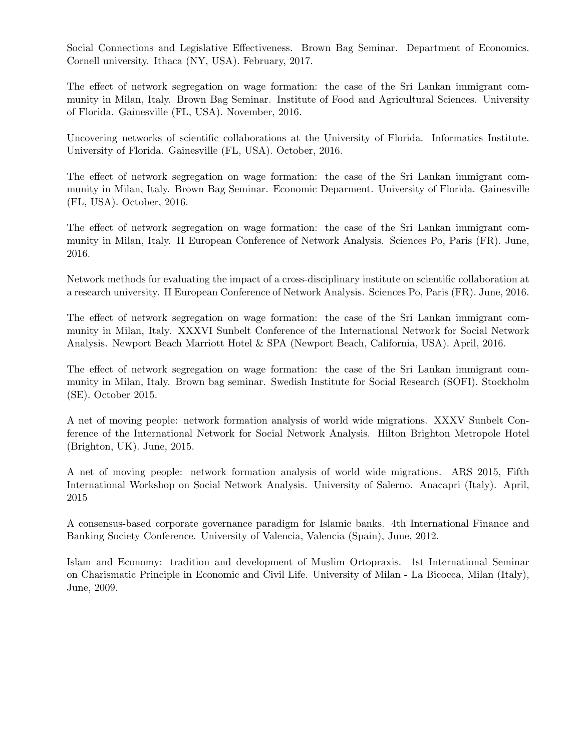Social Connections and Legislative Effectiveness. Brown Bag Seminar. Department of Economics. Cornell university. Ithaca (NY, USA). February, 2017.

The effect of network segregation on wage formation: the case of the Sri Lankan immigrant community in Milan, Italy. Brown Bag Seminar. Institute of Food and Agricultural Sciences. University of Florida. Gainesville (FL, USA). November, 2016.

Uncovering networks of scientific collaborations at the University of Florida. Informatics Institute. University of Florida. Gainesville (FL, USA). October, 2016.

The effect of network segregation on wage formation: the case of the Sri Lankan immigrant community in Milan, Italy. Brown Bag Seminar. Economic Deparment. University of Florida. Gainesville (FL, USA). October, 2016.

The effect of network segregation on wage formation: the case of the Sri Lankan immigrant community in Milan, Italy. II European Conference of Network Analysis. Sciences Po, Paris (FR). June, 2016.

Network methods for evaluating the impact of a cross-disciplinary institute on scientific collaboration at a research university. II European Conference of Network Analysis. Sciences Po, Paris (FR). June, 2016.

The effect of network segregation on wage formation: the case of the Sri Lankan immigrant community in Milan, Italy. XXXVI Sunbelt Conference of the International Network for Social Network Analysis. Newport Beach Marriott Hotel & SPA (Newport Beach, California, USA). April, 2016.

The effect of network segregation on wage formation: the case of the Sri Lankan immigrant community in Milan, Italy. Brown bag seminar. Swedish Institute for Social Research (SOFI). Stockholm (SE). October 2015.

A net of moving people: network formation analysis of world wide migrations. XXXV Sunbelt Conference of the International Network for Social Network Analysis. Hilton Brighton Metropole Hotel (Brighton, UK). June, 2015.

A net of moving people: network formation analysis of world wide migrations. ARS 2015, Fifth International Workshop on Social Network Analysis. University of Salerno. Anacapri (Italy). April, 2015

A consensus-based corporate governance paradigm for Islamic banks. 4th International Finance and Banking Society Conference. University of Valencia, Valencia (Spain), June, 2012.

Islam and Economy: tradition and development of Muslim Ortopraxis. 1st International Seminar on Charismatic Principle in Economic and Civil Life. University of Milan - La Bicocca, Milan (Italy), June, 2009.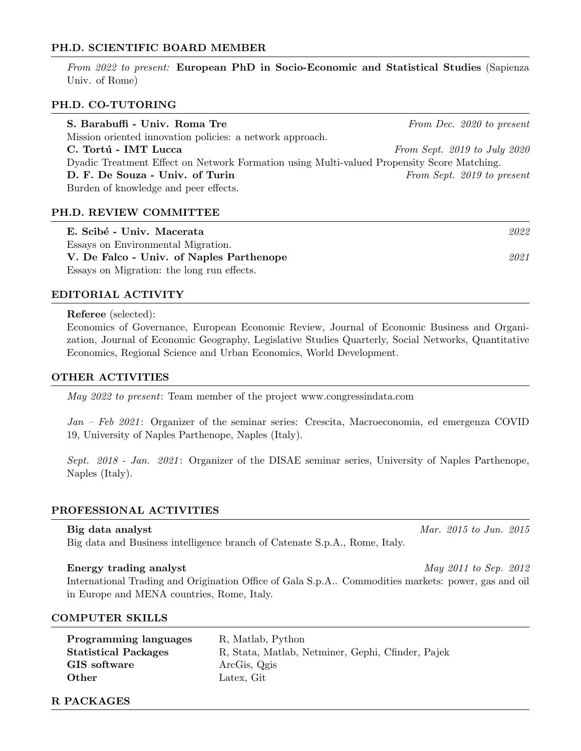#### PH.D. SCIENTIFIC BOARD MEMBER

From 2022 to present: European PhD in Socio-Economic and Statistical Studies (Sapienza Univ. of Rome)

### PH.D. CO-TUTORING

| S. Barabuffi - Univ. Roma Tre                                                              | From Dec. 2020 to present    |  |
|--------------------------------------------------------------------------------------------|------------------------------|--|
| Mission oriented innovation policies: a network approach.                                  |                              |  |
| C. Tortú - IMT Lucca                                                                       | From Sept. 2019 to July 2020 |  |
| Dyadic Treatment Effect on Network Formation using Multi-valued Propensity Score Matching. |                              |  |
| D. F. De Souza - Univ. of Turin                                                            | From Sept. 2019 to present   |  |
| Burden of knowledge and peer effects.                                                      |                              |  |

#### PH.D. REVIEW COMMITTEE

| E. Scibé - Univ. Macerata                  | 2022 |
|--------------------------------------------|------|
| Essays on Environmental Migration.         |      |
| V. De Falco - Univ. of Naples Parthenope   | 2021 |
| Essays on Migration: the long run effects. |      |

#### EDITORIAL ACTIVITY

Referee (selected):

Economics of Governance, European Economic Review, Journal of Economic Business and Organization, Journal of Economic Geography, Legislative Studies Quarterly, Social Networks, Quantitative Economics, Regional Science and Urban Economics, World Development.

#### OTHER ACTIVITIES

May 2022 to present: Team member of the project www.congressindata.com

Jan – Feb 2021: Organizer of the seminar series: Crescita, Macroeconomia, ed emergenza COVID 19, University of Naples Parthenope, Naples (Italy).

Sept. 2018 - Jan. 2021: Organizer of the DISAE seminar series, University of Naples Parthenope, Naples (Italy).

#### PROFESSIONAL ACTIVITIES

Big data and Business intelligence branch of Catenate S.p.A., Rome, Italy.

#### Energy trading analyst May 2011 to Sep. 2012

International Trading and Origination Office of Gala S.p.A.. Commodities markets: power, gas and oil in Europe and MENA countries, Rome, Italy.

#### COMPUTER SKILLS

| <b>Programming languages</b> | R, Matlab, Python                                 |
|------------------------------|---------------------------------------------------|
| <b>Statistical Packages</b>  | R, Stata, Matlab, Netminer, Gephi, Cfinder, Pajek |
| GIS software                 | ArcGis, Qgis                                      |
| $\qquad$ Other               | Latex, Git                                        |
|                              |                                                   |

R PACKAGES

# Big data analyst Mar. 2015 to Jun. 2015